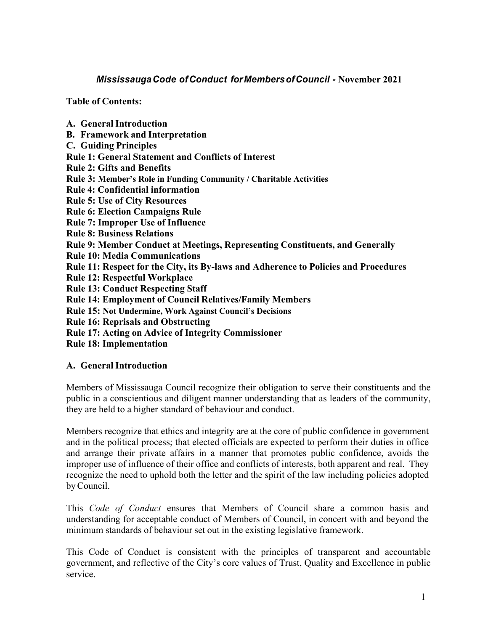# *MississaugaCode of Conduct forMembersofCouncil -* **November 2021**

**Table of Contents:** 

**A. General Introduction B. Framework and Interpretation C. Guiding Principles Rule 1: General Statement and Conflicts of Interest Rule 2: Gifts and Benefits Rule 3: Member's Role in Funding Community / Charitable Activities Rule 4: Confidential information Rule 5: Use of City Resources Rule 6: Election Campaigns Rule Rule 7: Improper Use of Influence Rule 8: Business Relations Rule 9: Member Conduct at Meetings, Representing Constituents, and Generally Rule 10: Media Communications Rule 11: Respect for the City, its By-laws and Adherence to Policies and Procedures Rule 12: Respectful Workplace Rule 13: Conduct Respecting Staff Rule 14: Employment of Council Relatives/Family Members Rule 15: Not Undermine, Work Against Council's Decisions Rule 16: Reprisals and Obstructing Rule 17: Acting on Advice of Integrity Commissioner**

**Rule 18: Implementation**

# **A. General Introduction**

Members of Mississauga Council recognize their obligation to serve their constituents and the public in a conscientious and diligent manner understanding that as leaders of the community, they are held to a higher standard of behaviour and conduct.

Members recognize that ethics and integrity are at the core of public confidence in government and in the political process; that elected officials are expected to perform their duties in office and arrange their private affairs in a manner that promotes public confidence, avoids the improper use of influence of their office and conflicts of interests, both apparent and real. They recognize the need to uphold both the letter and the spirit of the law including policies adopted byCouncil.

This *Code of Conduct* ensures that Members of Council share a common basis and understanding for acceptable conduct of Members of Council, in concert with and beyond the minimum standards of behaviour set out in the existing legislative framework.

This Code of Conduct is consistent with the principles of transparent and accountable government, and reflective of the City's core values of Trust, Quality and Excellence in public service.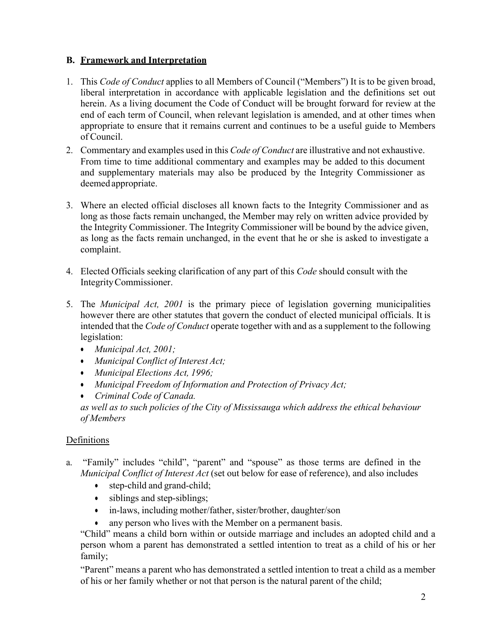# **B. Framework and Interpretation**

- 1. This *Code of Conduct* applies to all Members of Council ("Members") It is to be given broad, liberal interpretation in accordance with applicable legislation and the definitions set out herein. As a living document the Code of Conduct will be brought forward for review at the end of each term of Council, when relevant legislation is amended, and at other times when appropriate to ensure that it remains current and continues to be a useful guide to Members of Council.
- 2. Commentary and examples used in this *Code of Conduct* are illustrative and not exhaustive. From time to time additional commentary and examples may be added to this document and supplementary materials may also be produced by the Integrity Commissioner as deemed appropriate.
- 3. Where an elected official discloses all known facts to the Integrity Commissioner and as long as those facts remain unchanged, the Member may rely on written advice provided by the Integrity Commissioner. The Integrity Commissioner will be bound by the advice given, as long as the facts remain unchanged, in the event that he or she is asked to investigate a complaint.
- 4. Elected Officials seeking clarification of any part of this *Code* should consult with the IntegrityCommissioner.
- 5. The *Municipal Act, 2001* is the primary piece of legislation governing municipalities however there are other statutes that govern the conduct of elected municipal officials. It is intended that the *Code of Conduct* operate together with and as a supplement to the following legislation:
	- *Municipal Act, 2001;*
	- *Municipal Conflict of Interest Act;*
	- *Municipal Elections Act, 1996;*
	- *Municipal Freedom of Information and Protection of Privacy Act;*
	- *Criminal Code of Canada.*

*as well as to such policies of the City of Mississauga which address the ethical behaviour of Members*

# Definitions

- a. "Family" includes "child", "parent" and "spouse" as those terms are defined in the *Municipal Conflict of Interest Act* (set out below for ease of reference), and also includes
	- step-child and grand-child;
	- siblings and step-siblings;
	- in-laws, including mother/father, sister/brother, daughter/son
	- any person who lives with the Member on a permanent basis.

"Child" means a child born within or outside marriage and includes an adopted child and a person whom a parent has demonstrated a settled intention to treat as a child of his or her family;

"Parent" means a parent who has demonstrated a settled intention to treat a child as a member of his or her family whether or not that person is the natural parent of the child;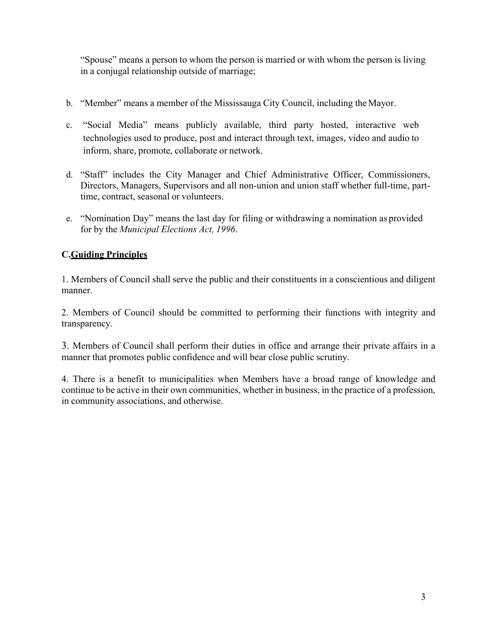"Spouse" means a person to whom the person is married or with whom the person is living in a conjugal relationship outside of marriage;

- b. "Member" means a member of the Mississauga City Council, including the Mayor.
- c. "Social Media" means publicly available, third party hosted, interactive web technologies used to produce, post and interact through text, images, video and audio to inform, share, promote, collaborate or network.
- d. "Staff" includes the City Manager and Chief Administrative Officer, Commissioners, Directors, Managers, Supervisors and all non-union and union staff whether full-time, parttime, contract, seasonal or volunteers.
- e. "Nomination Day" means the last day for filing or withdrawing a nomination as provided for by the *Municipal Elections Act, 1996*.

# **C.Guiding Principles**

1. Members of Council shall serve the public and their constituents in a conscientious and diligent manner.

2. Members of Council should be committed to performing their functions with integrity and transparency.

3. Members of Council shall perform their duties in office and arrange their private affairs in a manner that promotes public confidence and will bear close public scrutiny.

4. There is a benefit to municipalities when Members have a broad range of knowledge and continue to be active in their own communities, whether in business, in the practice of a profession, in community associations, and otherwise.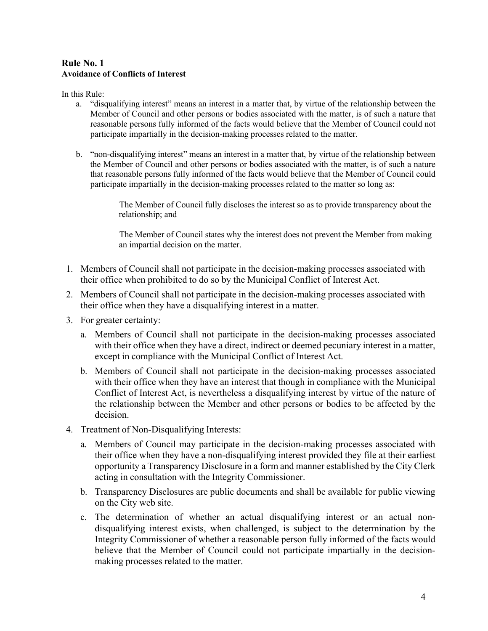#### **Rule No. 1 Avoidance of Conflicts of Interest**

In this Rule:

- a. "disqualifying interest" means an interest in a matter that, by virtue of the relationship between the Member of Council and other persons or bodies associated with the matter, is of such a nature that reasonable persons fully informed of the facts would believe that the Member of Council could not participate impartially in the decision-making processes related to the matter.
- b. "non-disqualifying interest" means an interest in a matter that, by virtue of the relationship between the Member of Council and other persons or bodies associated with the matter, is of such a nature that reasonable persons fully informed of the facts would believe that the Member of Council could participate impartially in the decision-making processes related to the matter so long as:

The Member of Council fully discloses the interest so as to provide transparency about the relationship; and

The Member of Council states why the interest does not prevent the Member from making an impartial decision on the matter.

- 1. Members of Council shall not participate in the decision-making processes associated with their office when prohibited to do so by the Municipal Conflict of Interest Act.
- 2. Members of Council shall not participate in the decision-making processes associated with their office when they have a disqualifying interest in a matter.
- 3. For greater certainty:
	- a. Members of Council shall not participate in the decision-making processes associated with their office when they have a direct, indirect or deemed pecuniary interest in a matter, except in compliance with the Municipal Conflict of Interest Act.
	- b. Members of Council shall not participate in the decision-making processes associated with their office when they have an interest that though in compliance with the Municipal Conflict of Interest Act, is nevertheless a disqualifying interest by virtue of the nature of the relationship between the Member and other persons or bodies to be affected by the decision.
- 4. Treatment of Non-Disqualifying Interests:
	- a. Members of Council may participate in the decision-making processes associated with their office when they have a non-disqualifying interest provided they file at their earliest opportunity a Transparency Disclosure in a form and manner established by the City Clerk acting in consultation with the Integrity Commissioner.
	- b. Transparency Disclosures are public documents and shall be available for public viewing on the City web site.
	- c. The determination of whether an actual disqualifying interest or an actual nondisqualifying interest exists, when challenged, is subject to the determination by the Integrity Commissioner of whether a reasonable person fully informed of the facts would believe that the Member of Council could not participate impartially in the decisionmaking processes related to the matter.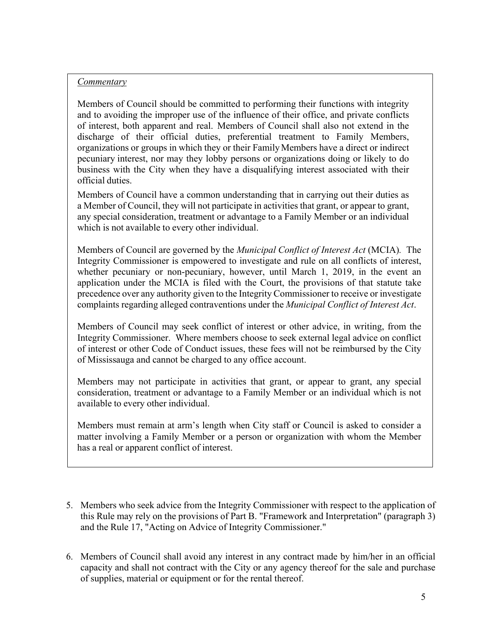#### *Commentary*

Members of Council should be committed to performing their functions with integrity and to avoiding the improper use of the influence of their office, and private conflicts of interest, both apparent and real. Members of Council shall also not extend in the discharge of their official duties, preferential treatment to Family Members, organizations or groups in which they or their FamilyMembers have a direct or indirect pecuniary interest, nor may they lobby persons or organizations doing or likely to do business with the City when they have a disqualifying interest associated with their official duties.

Members of Council have a common understanding that in carrying out their duties as a Member of Council, they will not participate in activities that grant, or appear to grant, any special consideration, treatment or advantage to a Family Member or an individual which is not available to every other individual.

Members of Council are governed by the *Municipal Conflict of Interest Act* (MCIA)*.* The Integrity Commissioner is empowered to investigate and rule on all conflicts of interest, whether pecuniary or non-pecuniary, however, until March 1, 2019, in the event an application under the MCIA is filed with the Court, the provisions of that statute take precedence over any authority given to the Integrity Commissioner to receive or investigate complaints regarding alleged contraventions under the *Municipal Conflict of Interest Act*.

Members of Council may seek conflict of interest or other advice, in writing, from the Integrity Commissioner. Where members choose to seek external legal advice on conflict of interest or other Code of Conduct issues, these fees will not be reimbursed by the City of Mississauga and cannot be charged to any office account.

Members may not participate in activities that grant, or appear to grant, any special consideration, treatment or advantage to a Family Member or an individual which is not available to every other individual.

Members must remain at arm's length when City staff or Council is asked to consider a matter involving a Family Member or a person or organization with whom the Member has a real or apparent conflict of interest.

- 5. Members who seek advice from the Integrity Commissioner with respect to the application of this Rule may rely on the provisions of Part B. "Framework and Interpretation" (paragraph 3) and the Rule 17, "Acting on Advice of Integrity Commissioner."
- 6. Members of Council shall avoid any interest in any contract made by him/her in an official capacity and shall not contract with the City or any agency thereof for the sale and purchase of supplies, material or equipment or for the rental thereof.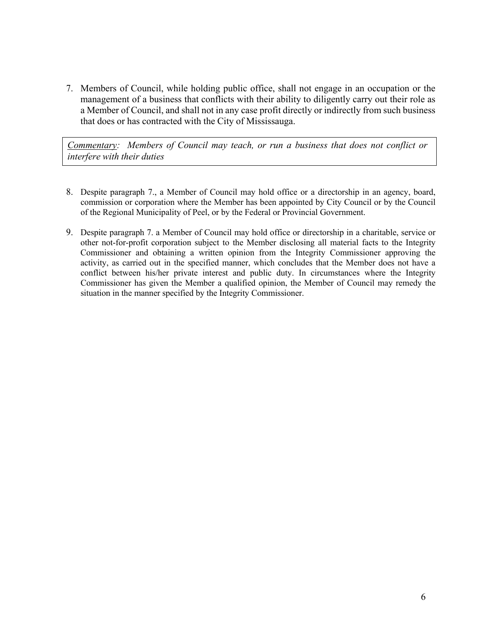7. Members of Council, while holding public office, shall not engage in an occupation or the management of a business that conflicts with their ability to diligently carry out their role as a Member of Council, and shall not in any case profit directly or indirectly from such business that does or has contracted with the City of Mississauga.

*Commentary: Members of Council may teach, or run a business that does not conflict or interfere with their duties*

- 8. Despite paragraph 7., a Member of Council may hold office or a directorship in an agency, board, commission or corporation where the Member has been appointed by City Council or by the Council of the Regional Municipality of Peel, or by the Federal or Provincial Government.
- 9. Despite paragraph 7. a Member of Council may hold office or directorship in a charitable, service or other not-for-profit corporation subject to the Member disclosing all material facts to the Integrity Commissioner and obtaining a written opinion from the Integrity Commissioner approving the activity, as carried out in the specified manner, which concludes that the Member does not have a conflict between his/her private interest and public duty. In circumstances where the Integrity Commissioner has given the Member a qualified opinion, the Member of Council may remedy the situation in the manner specified by the Integrity Commissioner.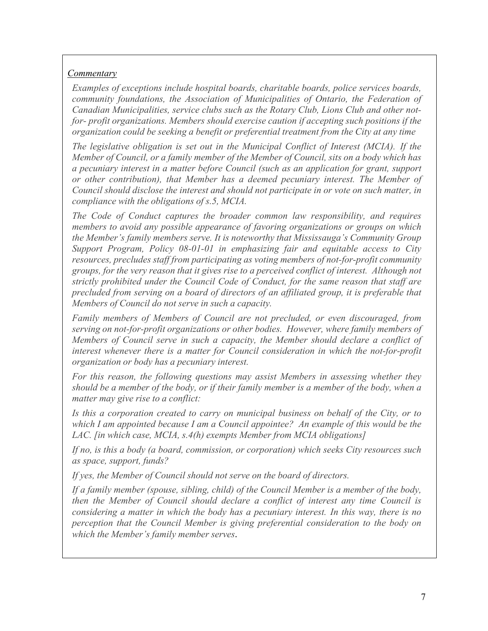# *Commentary*

*Examples of exceptions include hospital boards, charitable boards, police services boards, community foundations, the Association of Municipalities of Ontario, the Federation of Canadian Municipalities, service clubs such as the Rotary Club, Lions Club and other notfor- profit organizations. Members should exercise caution if accepting such positions if the organization could be seeking a benefit or preferential treatment from the City at any time*

*The legislative obligation is set out in the Municipal Conflict of Interest (MCIA). If the Member of Council, or a family member of the Member of Council, sits on a body which has a pecuniary interest in a matter before Council (such as an application for grant, support or other contribution), that Member has a deemed pecuniary interest. The Member of Council should disclose the interest and should not participate in or vote on such matter, in compliance with the obligations of s.5, MCIA.*

*The Code of Conduct captures the broader common law responsibility, and requires members to avoid any possible appearance of favoring organizations or groups on which the Member's family members serve. It is noteworthy that Mississauga's Community Group Support Program, Policy 08-01-01 in emphasizing fair and equitable access to City resources, precludes staff from participating as voting members of not-for-profit community groups, for the very reason that it gives rise to a perceived conflict of interest. Although not strictly prohibited under the Council Code of Conduct, for the same reason that staff are precluded from serving on a board of directors of an affiliated group, it is preferable that Members of Council do not serve in such a capacity.*

*Family members of Members of Council are not precluded, or even discouraged, from serving on not-for-profit organizations or other bodies. However, where family members of Members of Council serve in such a capacity, the Member should declare a conflict of interest whenever there is a matter for Council consideration in which the not-for-profit organization or body has a pecuniary interest.*

*For this reason, the following questions may assist Members in assessing whether they* should be a member of the body, or if their family member is a member of the body, when a *matter may give rise to a conflict:*

*Is this a corporation created to carry on municipal business on behalf of the City, or to which I am appointed because I am a Council appointee? An example of this would be the LAC. [in which case, MCIA, s.4(h) exempts Member from MCIA obligations]*

*If no, is this a body (a board, commission, or corporation) which seeks City resources such as space, support, funds?*

*If yes, the Member of Council should not serve on the board of directors.*

*If a family member (spouse, sibling, child) of the Council Member is a member of the body, then the Member of Council should declare a conflict of interest any time Council is considering a matter in which the body has a pecuniary interest. In this way, there is no perception that the Council Member is giving preferential consideration to the body on which the Member's family member serves*.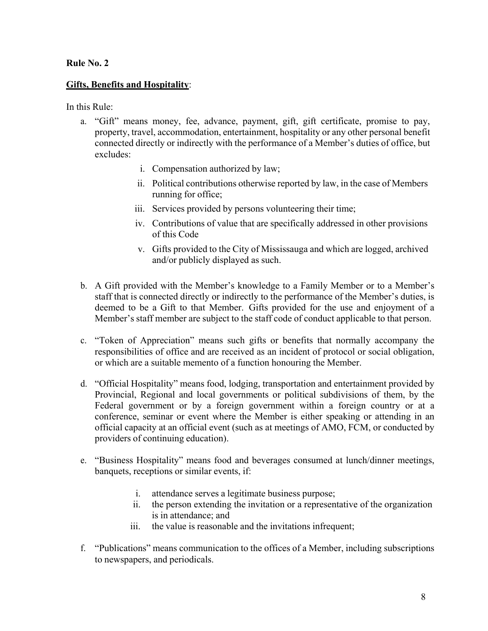## **Gifts, Benefits and Hospitality**:

In this Rule:

- a. "Gift" means money, fee, advance, payment, gift, gift certificate, promise to pay, property, travel, accommodation, entertainment, hospitality or any other personal benefit connected directly or indirectly with the performance of a Member's duties of office, but excludes:
	- i. Compensation authorized by law;
	- ii. Political contributions otherwise reported by law, in the case of Members running for office;
	- iii. Services provided by persons volunteering their time;
	- iv. Contributions of value that are specifically addressed in other provisions of this Code
	- v. Gifts provided to the City of Mississauga and which are logged, archived and/or publicly displayed as such.
- b. A Gift provided with the Member's knowledge to a Family Member or to a Member's staff that is connected directly or indirectly to the performance of the Member's duties, is deemed to be a Gift to that Member. Gifts provided for the use and enjoyment of a Member's staff member are subject to the staff code of conduct applicable to that person.
- c. "Token of Appreciation" means such gifts or benefits that normally accompany the responsibilities of office and are received as an incident of protocol or social obligation, or which are a suitable memento of a function honouring the Member.
- d. "Official Hospitality" means food, lodging, transportation and entertainment provided by Provincial, Regional and local governments or political subdivisions of them, by the Federal government or by a foreign government within a foreign country or at a conference, seminar or event where the Member is either speaking or attending in an official capacity at an official event (such as at meetings of AMO, FCM, or conducted by providers of continuing education).
- e. "Business Hospitality" means food and beverages consumed at lunch/dinner meetings, banquets, receptions or similar events, if:
	- i. attendance serves a legitimate business purpose;
	- ii. the person extending the invitation or a representative of the organization is in attendance; and
	- iii. the value is reasonable and the invitations infrequent;
- f. "Publications" means communication to the offices of a Member, including subscriptions to newspapers, and periodicals.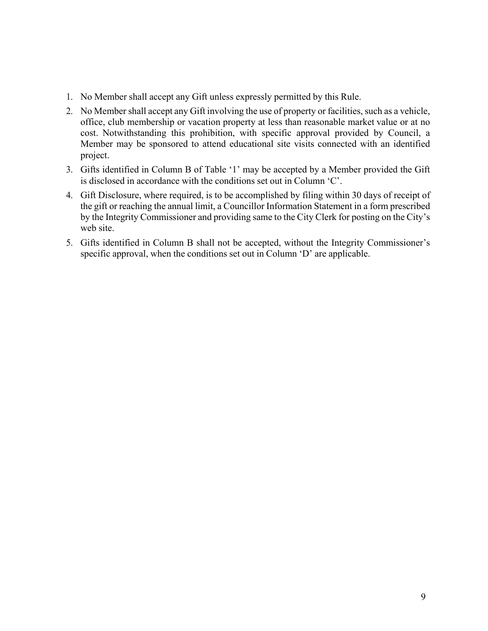- 1. No Member shall accept any Gift unless expressly permitted by this Rule.
- 2. No Member shall accept any Gift involving the use of property or facilities, such as a vehicle, office, club membership or vacation property at less than reasonable market value or at no cost. Notwithstanding this prohibition, with specific approval provided by Council, a Member may be sponsored to attend educational site visits connected with an identified project.
- 3. Gifts identified in Column B of Table '1' may be accepted by a Member provided the Gift is disclosed in accordance with the conditions set out in Column 'C'.
- 4. Gift Disclosure, where required, is to be accomplished by filing within 30 days of receipt of the gift or reaching the annual limit, a Councillor Information Statement in a form prescribed by the Integrity Commissioner and providing same to the City Clerk for posting on the City's web site.
- 5. Gifts identified in Column B shall not be accepted, without the Integrity Commissioner's specific approval, when the conditions set out in Column 'D' are applicable.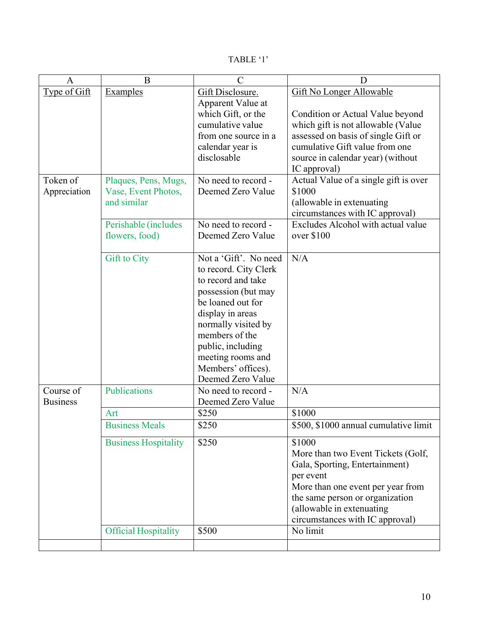| `ABL |  |
|------|--|
|------|--|

| $\mathbf{A}$                 | B                                                          | $\overline{C}$                                                                                                                                                                                                                                                     | D                                                                                                                                                                                                                                       |
|------------------------------|------------------------------------------------------------|--------------------------------------------------------------------------------------------------------------------------------------------------------------------------------------------------------------------------------------------------------------------|-----------------------------------------------------------------------------------------------------------------------------------------------------------------------------------------------------------------------------------------|
| Type of Gift                 | <b>Examples</b>                                            | Gift Disclosure.<br>Apparent Value at<br>which Gift, or the<br>cumulative value<br>from one source in a<br>calendar year is<br>disclosable                                                                                                                         | <b>Gift No Longer Allowable</b><br>Condition or Actual Value beyond<br>which gift is not allowable (Value<br>assessed on basis of single Gift or<br>cumulative Gift value from one<br>source in calendar year) (without<br>IC approval) |
| Token of<br>Appreciation     | Plaques, Pens, Mugs,<br>Vase, Event Photos,<br>and similar | No need to record -<br>Deemed Zero Value                                                                                                                                                                                                                           | Actual Value of a single gift is over<br>\$1000<br>(allowable in extenuating<br>circumstances with IC approval)                                                                                                                         |
|                              | Perishable (includes<br>flowers, food)                     | No need to record -<br>Deemed Zero Value                                                                                                                                                                                                                           | Excludes Alcohol with actual value<br>over \$100                                                                                                                                                                                        |
|                              | <b>Gift to City</b>                                        | Not a 'Gift'. No need<br>to record. City Clerk<br>to record and take<br>possession (but may<br>be loaned out for<br>display in areas<br>normally visited by<br>members of the<br>public, including<br>meeting rooms and<br>Members' offices).<br>Deemed Zero Value | N/A                                                                                                                                                                                                                                     |
| Course of<br><b>Business</b> | Publications                                               | No need to record -<br>Deemed Zero Value                                                                                                                                                                                                                           | N/A                                                                                                                                                                                                                                     |
|                              | Art                                                        | \$250                                                                                                                                                                                                                                                              | \$1000                                                                                                                                                                                                                                  |
|                              | <b>Business Meals</b>                                      | \$250                                                                                                                                                                                                                                                              | \$500, \$1000 annual cumulative limit                                                                                                                                                                                                   |
|                              | <b>Business Hospitality</b>                                | \$250                                                                                                                                                                                                                                                              | \$1000<br>More than two Event Tickets (Golf,<br>Gala, Sporting, Entertainment)<br>per event<br>More than one event per year from<br>the same person or organization<br>(allowable in extenuating<br>circumstances with IC approval)     |
|                              | <b>Official Hospitality</b>                                | \$500                                                                                                                                                                                                                                                              | No limit                                                                                                                                                                                                                                |
|                              |                                                            |                                                                                                                                                                                                                                                                    |                                                                                                                                                                                                                                         |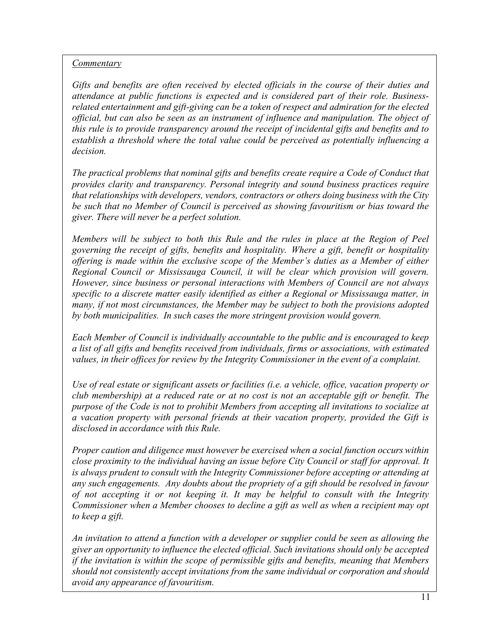# *Commentary*

*Gifts and benefits are often received by elected officials in the course of their duties and attendance at public functions is expected and is considered part of their role. Businessrelated entertainment and gift-giving can be a token of respect and admiration for the elected official, but can also be seen as an instrument of influence and manipulation. The object of this rule is to provide transparency around the receipt of incidental gifts and benefits and to establish a threshold where the total value could be perceived as potentially influencing a decision.*

*The practical problems that nominal gifts and benefits create require a Code of Conduct that provides clarity and transparency. Personal integrity and sound business practices require that relationships with developers, vendors, contractors or others doing business with the City be such that no Member of Council is perceived as showing favouritism or bias toward the giver. There will never be a perfect solution.*

*Members will be subject to both this Rule and the rules in place at the Region of Peel governing the receipt of gifts, benefits and hospitality. Where a gift, benefit or hospitality offering is made within the exclusive scope of the Member's duties as a Member of either Regional Council or Mississauga Council, it will be clear which provision will govern. However, since business or personal interactions with Members of Council are not always specific to a discrete matter easily identified as either a Regional or Mississauga matter, in many, if not most circumstances, the Member may be subject to both the provisions adopted by both municipalities. In such cases the more stringent provision would govern.*

*Each Member of Council is individually accountable to the public and is encouraged to keep a list of all gifts and benefits received from individuals, firms or associations, with estimated values, in their offices for review by the Integrity Commissioner in the event of a complaint.*

*Use of real estate or significant assets or facilities (i.e. a vehicle, office, vacation property or club membership) at a reduced rate or at no cost is not an acceptable gift or benefit. The purpose of the Code is not to prohibit Members from accepting all invitations to socialize at a vacation property with personal friends at their vacation property, provided the Gift is disclosed in accordance with this Rule.*

*Proper caution and diligence must however be exercised when a social function occurs within close proximity to the individual having an issue before City Council or staff for approval. It is always prudent to consult with the Integrity Commissioner before accepting or attending at any such engagements. Any doubts about the propriety of a gift should be resolved in favour of not accepting it or not keeping it. It may be helpful to consult with the Integrity Commissioner when a Member chooses to decline a gift as well as when a recipient may opt to keep a gift.*

*An invitation to attend a function with a developer or supplier could be seen as allowing the giver an opportunity to influence the elected official. Such invitations should only be accepted if the invitation is within the scope of permissible gifts and benefits, meaning that Members should not consistently accept invitations from the same individual or corporation and should avoid any appearance of favouritism.*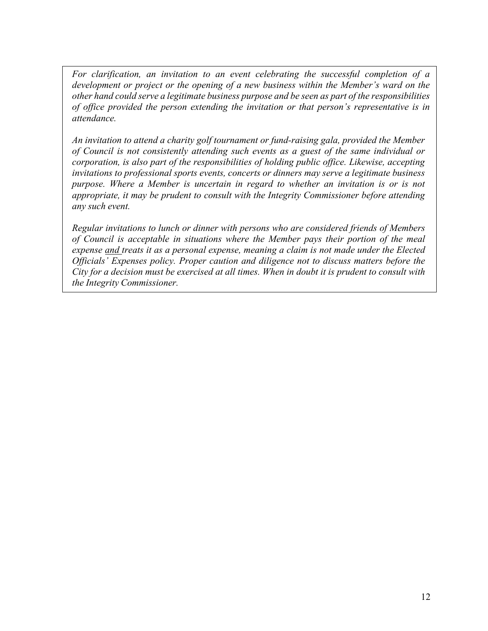*For clarification, an invitation to an event celebrating the successful completion of a development or project or the opening of a new business within the Member's ward on the other hand could serve a legitimate business purpose and be seen as part of the responsibilities of office provided the person extending the invitation or that person's representative is in attendance.*

*An invitation to attend a charity golf tournament or fund-raising gala, provided the Member of Council is not consistently attending such events as a guest of the same individual or corporation, is also part of the responsibilities of holding public office. Likewise, accepting invitations to professional sports events, concerts or dinners may serve a legitimate business purpose. Where a Member is uncertain in regard to whether an invitation is or is not appropriate, it may be prudent to consult with the Integrity Commissioner before attending any such event.*

*Regular invitations to lunch or dinner with persons who are considered friends of Members of Council is acceptable in situations where the Member pays their portion of the meal expense and treats it as a personal expense, meaning a claim is not made under the Elected Officials' Expenses policy. Proper caution and diligence not to discuss matters before the* City for a decision must be exercised at all times. When in doubt it is prudent to consult with *the Integrity Commissioner.*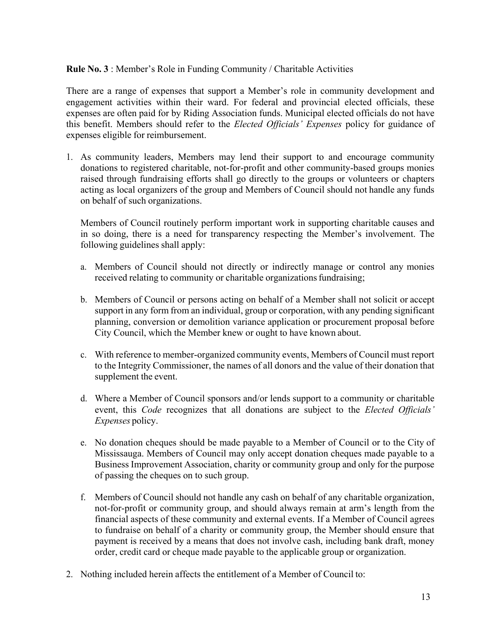## **Rule No. 3** : Member's Role in Funding Community / Charitable Activities

There are a range of expenses that support a Member's role in community development and engagement activities within their ward. For federal and provincial elected officials, these expenses are often paid for by Riding Association funds. Municipal elected officials do not have this benefit. Members should refer to the *Elected Officials' Expenses* policy for guidance of expenses eligible for reimbursement.

1. As community leaders, Members may lend their support to and encourage community donations to registered charitable, not-for-profit and other community-based groups monies raised through fundraising efforts shall go directly to the groups or volunteers or chapters acting as local organizers of the group and Members of Council should not handle any funds on behalf of such organizations.

Members of Council routinely perform important work in supporting charitable causes and in so doing, there is a need for transparency respecting the Member's involvement. The following guidelines shall apply:

- a. Members of Council should not directly or indirectly manage or control any monies received relating to community or charitable organizations fundraising;
- b. Members of Council or persons acting on behalf of a Member shall not solicit or accept support in any form from an individual, group or corporation, with any pending significant planning, conversion or demolition variance application or procurement proposal before City Council, which the Member knew or ought to have known about.
- c. With reference to member-organized community events, Members of Council must report to the Integrity Commissioner, the names of all donors and the value of their donation that supplement the event.
- d. Where a Member of Council sponsors and/or lends support to a community or charitable event, this *Code* recognizes that all donations are subject to the *Elected Officials' Expenses* policy.
- e. No donation cheques should be made payable to a Member of Council or to the City of Mississauga. Members of Council may only accept donation cheques made payable to a Business Improvement Association, charity or community group and only for the purpose of passing the cheques on to such group.
- f. Members of Council should not handle any cash on behalf of any charitable organization, not-for-profit or community group, and should always remain at arm's length from the financial aspects of these community and external events. If a Member of Council agrees to fundraise on behalf of a charity or community group, the Member should ensure that payment is received by a means that does not involve cash, including bank draft, money order, credit card or cheque made payable to the applicable group or organization.
- 2. Nothing included herein affects the entitlement of a Member of Council to: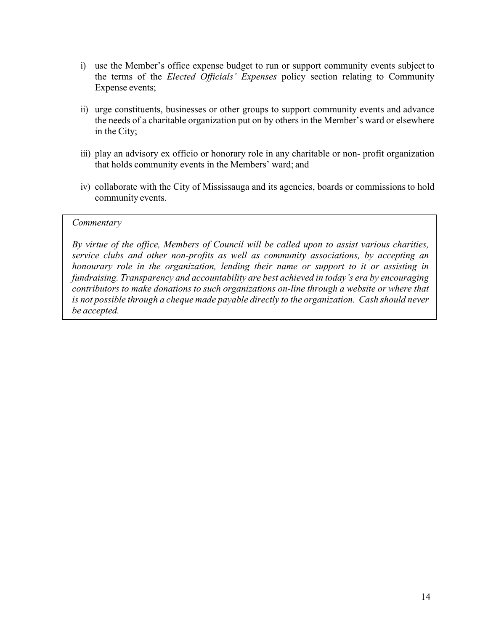- i) use the Member's office expense budget to run or support community events subject to the terms of the *Elected Officials' Expenses* policy section relating to Community Expense events;
- ii) urge constituents, businesses or other groups to support community events and advance the needs of a charitable organization put on by others in the Member's ward or elsewhere in the City;
- iii) play an advisory ex officio or honorary role in any charitable or non-profit organization that holds community events in the Members' ward; and
- iv) collaborate with the City of Mississauga and its agencies, boards or commissions to hold community events.

#### *Commentary*

*By virtue of the office, Members of Council will be called upon to assist various charities, service clubs and other non-profits as well as community associations, by accepting an honourary role in the organization, lending their name or support to it or assisting in fundraising. Transparency and accountability are best achieved in today's era by encouraging contributors to make donations to such organizations on-line through a website or where that is not possible through a cheque made payable directly to the organization. Cash should never be accepted.*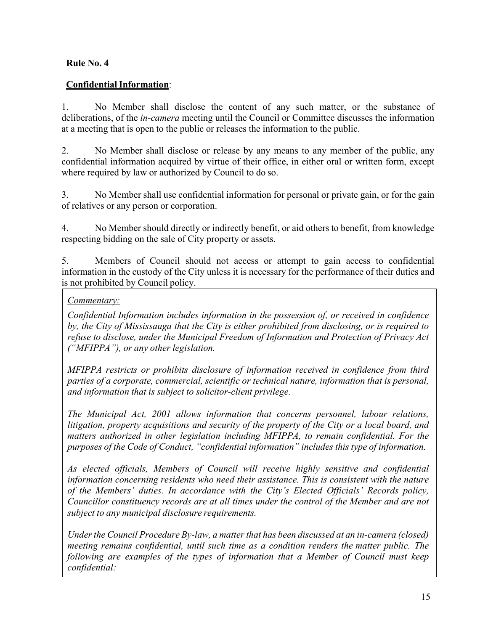# **ConfidentialInformation**:

1. No Member shall disclose the content of any such matter, or the substance of deliberations, of the *in-camera* meeting until the Council or Committee discusses the information at a meeting that is open to the public or releases the information to the public.

2. No Member shall disclose or release by any means to any member of the public, any confidential information acquired by virtue of their office, in either oral or written form, except where required by law or authorized by Council to do so.

3. No Member shall use confidential information for personal or private gain, or for the gain of relatives or any person or corporation.

4. No Member should directly or indirectly benefit, or aid others to benefit, from knowledge respecting bidding on the sale of City property or assets.

5. Members of Council should not access or attempt to gain access to confidential information in the custody of the City unless it is necessary for the performance of their duties and is not prohibited by Council policy.

# *Commentary:*

*Confidential Information includes information in the possession of, or received in confidence by, the City of Mississauga that the City is either prohibited from disclosing, or is required to refuse to disclose, under the Municipal Freedom of Information and Protection of Privacy Act ("MFIPPA"), or any other legislation.*

*MFIPPA restricts or prohibits disclosure of information received in confidence from third parties of a corporate, commercial, scientific or technical nature, information that is personal, and information that is subject to solicitor-client privilege.*

*The Municipal Act, 2001 allows information that concerns personnel, labour relations, litigation, property acquisitions and security of the property of the City or a local board, and matters authorized in other legislation including MFIPPA, to remain confidential. For the purposes of the Code of Conduct, "confidential information" includes this type of information.*

*As elected officials, Members of Council will receive highly sensitive and confidential information concerning residents who need their assistance. This is consistent with the nature of the Members' duties. In accordance with the City's Elected Officials' Records policy, Councillor constituency records are at all times under the control of the Member and are not subject to any municipal disclosure requirements.*

*Under the Council Procedure By-law, a matter that has been discussed at an in-camera (closed) meeting remains confidential, until such time as a condition renders the matter public. The following are examples of the types of information that a Member of Council must keep confidential:*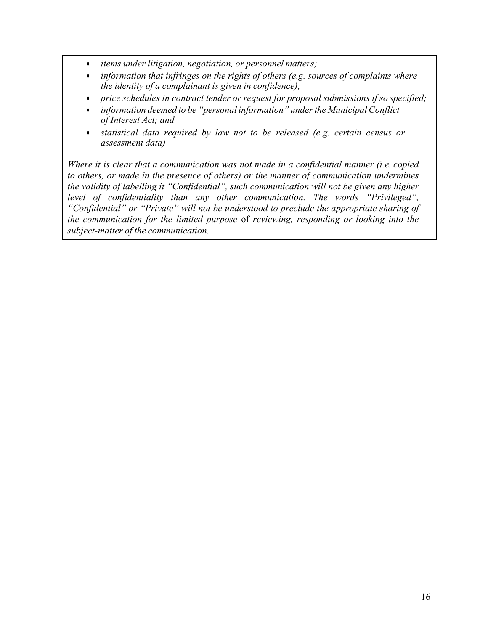- *items under litigation, negotiation, or personnel matters;*
- *information that infringes on the rights of others (e.g. sources of complaints where the identity of a complainant is given in confidence);*
- *price schedules in contract tender or request for proposal submissions if so specified;*
- *information deemed to be "personal information" underthe Municipal Conflict of Interest Act; and*
- *statistical data required by law not to be released (e.g. certain census or assessment data)*

*Where it is clear that a communication was not made in a confidential manner (i.e. copied to others, or made in the presence of others) or the manner of communication undermines the validity of labelling it "Confidential", such communication will not be given any higher level of confidentiality than any other communication. The words "Privileged", "Confidential" or "Private" will not be understood to preclude the appropriate sharing of the communication for the limited purpose* of *reviewing, responding or looking into the subject-matter of the communication.*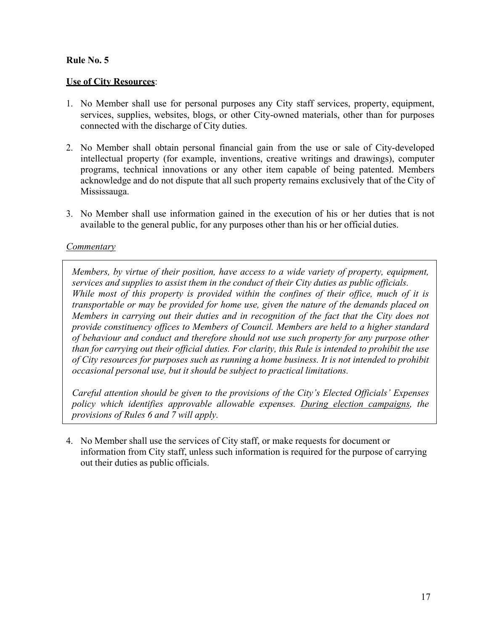## **Use of City Resources**:

- 1. No Member shall use for personal purposes any City staff services, property, equipment, services, supplies, websites, blogs, or other City-owned materials, other than for purposes connected with the discharge of City duties.
- 2. No Member shall obtain personal financial gain from the use or sale of City-developed intellectual property (for example, inventions, creative writings and drawings), computer programs, technical innovations or any other item capable of being patented. Members acknowledge and do not dispute that all such property remains exclusively that of the City of Mississauga.
- 3. No Member shall use information gained in the execution of his or her duties that is not available to the general public, for any purposes other than his or her official duties.

#### *Commentary*

*Members, by virtue of their position, have access to a wide variety of property, equipment, services and supplies to assist them in the conduct of their City duties as public officials. While most of this property is provided within the confines of their office, much of it is transportable or may be provided for home use, given the nature of the demands placed on Members in carrying out their duties and in recognition of the fact that the City does not provide constituency offices to Members of Council. Members are held to a higher standard of behaviour and conduct and therefore should not use such property for any purpose other than for carrying out their official duties. For clarity, this Rule is intended to prohibit the use of City resources for purposes such as running a home business. It is not intended to prohibit occasional personal use, but it should be subject to practical limitations.*

*Careful attention should be given to the provisions of the City's Elected Officials' Expenses policy which identifies approvable allowable expenses. During election campaigns, the provisions of Rules 6 and 7 will apply.*

4. No Member shall use the services of City staff, or make requests for document or information from City staff, unless such information is required for the purpose of carrying out their duties as public officials.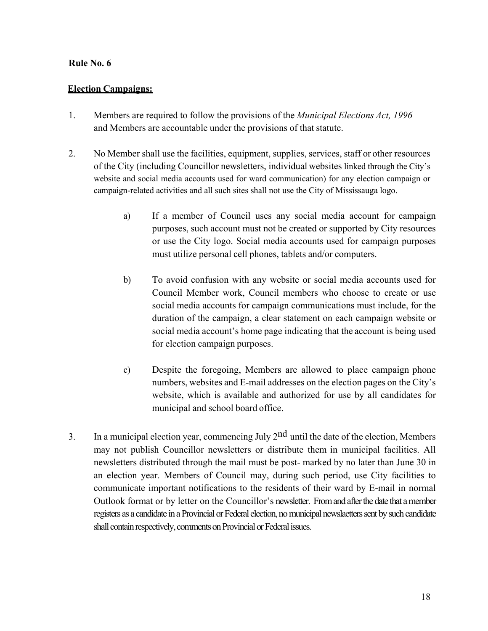## **Election Campaigns:**

- 1. Members are required to follow the provisions of the *Municipal Elections Act, 1996* and Members are accountable under the provisions of that statute.
- 2. No Member shall use the facilities, equipment, supplies, services, staff or other resources of the City (including Councillor newsletters, individual websites linked through the City's website and social media accounts used for ward communication) for any election campaign or campaign-related activities and all such sites shall not use the City of Mississauga logo.
	- a) If a member of Council uses any social media account for campaign purposes, such account must not be created or supported by City resources or use the City logo. Social media accounts used for campaign purposes must utilize personal cell phones, tablets and/or computers.
	- b) To avoid confusion with any website or social media accounts used for Council Member work, Council members who choose to create or use social media accounts for campaign communications must include, for the duration of the campaign, a clear statement on each campaign website or social media account's home page indicating that the account is being used for election campaign purposes.
	- c) Despite the foregoing, Members are allowed to place campaign phone numbers, websites and E-mail addresses on the election pages on the City's website, which is available and authorized for use by all candidates for municipal and school board office.
- 3. In a municipal election year, commencing July  $2<sup>nd</sup>$  until the date of the election, Members may not publish Councillor newsletters or distribute them in municipal facilities. All newsletters distributed through the mail must be post- marked by no later than June 30 in an election year. Members of Council may, during such period, use City facilities to communicate important notifications to the residents of their ward by E-mail in normal Outlook format or by letter on the Councillor's newsletter. From and after the date that a member registers as a candidate in a Provincial or Federal election, no municipal newslaetters sent by such candidate shall contain respectively, comments on Provincial or Federal issues.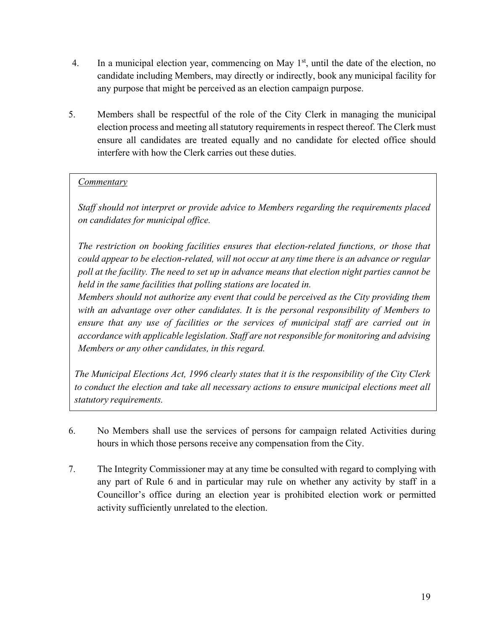- 4. In a municipal election year, commencing on May  $1<sup>st</sup>$ , until the date of the election, no candidate including Members, may directly or indirectly, book any municipal facility for any purpose that might be perceived as an election campaign purpose.
- 5. Members shall be respectful of the role of the City Clerk in managing the municipal election process and meeting all statutory requirements in respect thereof. The Clerk must ensure all candidates are treated equally and no candidate for elected office should interfere with how the Clerk carries out these duties.

# *Commentary*

*Staff should not interpret or provide advice to Members regarding the requirements placed on candidates for municipal office.*

*The restriction on booking facilities ensures that election-related functions, or those that could appear to be election-related, will not occur at any time there is an advance or regular poll at the facility. The need to set up in advance means that election night parties cannot be held in the same facilities that polling stations are located in.*

*Members should not authorize any event that could be perceived as the City providing them with an advantage over other candidates. It is the personal responsibility of Members to ensure that any use of facilities or the services of municipal staff are carried out in accordance with applicable legislation. Staff are not responsible for monitoring and advising Members or any other candidates, in this regard.*

*The Municipal Elections Act, 1996 clearly states that it is the responsibility of the City Clerk to conduct the election and take all necessary actions to ensure municipal elections meet all statutory requirements.*

- 6. No Members shall use the services of persons for campaign related Activities during hours in which those persons receive any compensation from the City.
- 7. The Integrity Commissioner may at any time be consulted with regard to complying with any part of Rule 6 and in particular may rule on whether any activity by staff in a Councillor's office during an election year is prohibited election work or permitted activity sufficiently unrelated to the election.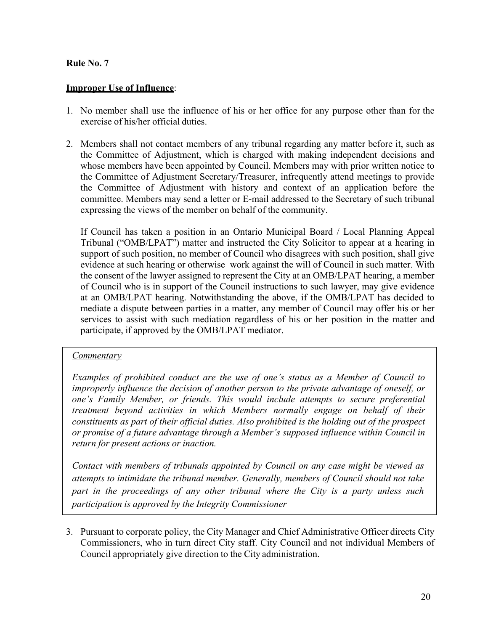#### **Improper Use of Influence**:

- 1. No member shall use the influence of his or her office for any purpose other than for the exercise of his/her official duties.
- 2. Members shall not contact members of any tribunal regarding any matter before it, such as the Committee of Adjustment, which is charged with making independent decisions and whose members have been appointed by Council. Members may with prior written notice to the Committee of Adjustment Secretary/Treasurer, infrequently attend meetings to provide the Committee of Adjustment with history and context of an application before the committee. Members may send a letter or E-mail addressed to the Secretary of such tribunal expressing the views of the member on behalf of the community.

If Council has taken a position in an Ontario Municipal Board / Local Planning Appeal Tribunal ("OMB/LPAT") matter and instructed the City Solicitor to appear at a hearing in support of such position, no member of Council who disagrees with such position, shall give evidence at such hearing or otherwise work against the will of Council in such matter. With the consent of the lawyer assigned to represent the City at an OMB/LPAT hearing, a member of Council who is in support of the Council instructions to such lawyer, may give evidence at an OMB/LPAT hearing. Notwithstanding the above, if the OMB/LPAT has decided to mediate a dispute between parties in a matter, any member of Council may offer his or her services to assist with such mediation regardless of his or her position in the matter and participate, if approved by the OMB/LPAT mediator.

#### *Commentary*

*Examples of prohibited conduct are the use of one's status as a Member of Council to improperly influence the decision of another person to the private advantage of oneself, or one's Family Member, or friends. This would include attempts to secure preferential treatment beyond activities in which Members normally engage on behalf of their constituents as part of their official duties. Also prohibited is the holding out of the prospect or promise of a future advantage through a Member's supposed influence within Council in return for present actions or inaction.*

*Contact with members of tribunals appointed by Council on any case might be viewed as attempts to intimidate the tribunal member. Generally, members of Council should not take part in the proceedings of any other tribunal where the City is a party unless such participation is approved by the Integrity Commissioner*

3. Pursuant to corporate policy, the City Manager and Chief Administrative Officer directs City Commissioners, who in turn direct City staff. City Council and not individual Members of Council appropriately give direction to the City administration.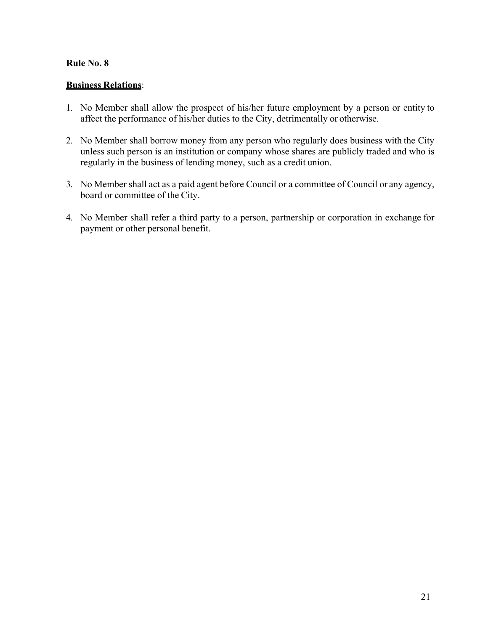## **Business Relations**:

- 1. No Member shall allow the prospect of his/her future employment by a person or entity to affect the performance of his/her duties to the City, detrimentally or otherwise.
- 2. No Member shall borrow money from any person who regularly does business with the City unless such person is an institution or company whose shares are publicly traded and who is regularly in the business of lending money, such as a credit union.
- 3. No Member shall act as a paid agent before Council or a committee of Council or any agency, board or committee of the City.
- 4. No Member shall refer a third party to a person, partnership or corporation in exchange for payment or other personal benefit.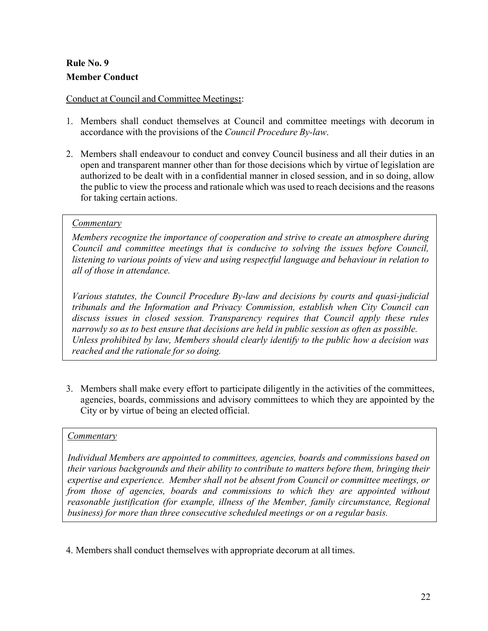# **Rule No. 9 Member Conduct**

# Conduct at Council and Committee Meetings**:**:

- 1. Members shall conduct themselves at Council and committee meetings with decorum in accordance with the provisions of the *Council Procedure By-law*.
- 2. Members shall endeavour to conduct and convey Council business and all their duties in an open and transparent manner other than for those decisions which by virtue of legislation are authorized to be dealt with in a confidential manner in closed session, and in so doing, allow the public to view the process and rationale which was used to reach decisions and the reasons for taking certain actions.

# *Commentary*

*Members recognize the importance of cooperation and strive to create an atmosphere during Council and committee meetings that is conducive to solving the issues before Council, listening to various points of view and using respectful language and behaviour in relation to all of those in attendance.*

*Various statutes, the Council Procedure By-law and decisions by courts and quasi-judicial tribunals and the Information and Privacy Commission, establish when City Council can discuss issues in closed session. Transparency requires that Council apply these rules narrowly so as to best ensure that decisions are held in public session as often as possible. Unless prohibited by law, Members should clearly identify to the public how a decision was reached and the rationale for so doing.*

3. Members shall make every effort to participate diligently in the activities of the committees, agencies, boards, commissions and advisory committees to which they are appointed by the City or by virtue of being an elected official.

# *Commentary*

*Individual Members are appointed to committees, agencies, boards and commissions based on their various backgrounds and their ability to contribute to matters before them, bringing their expertise and experience. Member shall not be absent from Council or committee meetings, or from those of agencies, boards and commissions to which they are appointed without reasonable justification (for example, illness of the Member, family circumstance, Regional business) for more than three consecutive scheduled meetings or on a regular basis.*

4. Members shall conduct themselves with appropriate decorum at all times.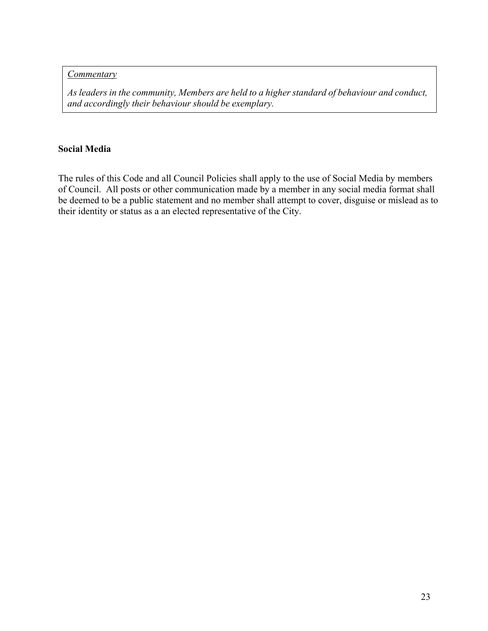#### *Commentary*

*As leaders in the community, Members are held to a higher standard of behaviour and conduct, and accordingly their behaviour should be exemplary.*

## **Social Media**

The rules of this Code and all Council Policies shall apply to the use of Social Media by members of Council. All posts or other communication made by a member in any social media format shall be deemed to be a public statement and no member shall attempt to cover, disguise or mislead as to their identity or status as a an elected representative of the City.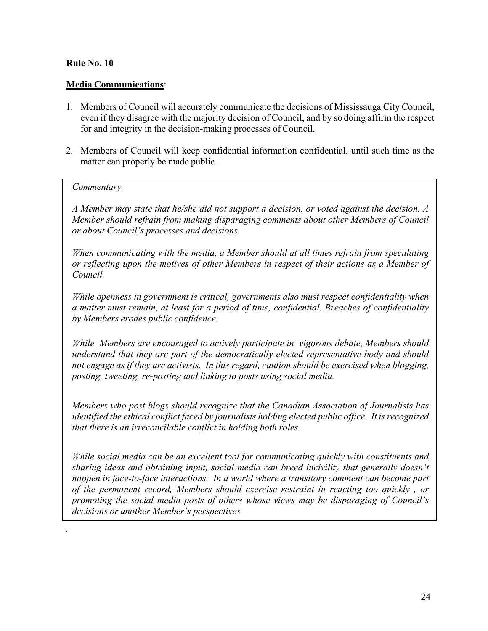## **Media Communications**:

- 1. Members of Council will accurately communicate the decisions of Mississauga City Council, even if they disagree with the majority decision of Council, and by so doing affirm the respect for and integrity in the decision-making processes of Council.
- 2. Members of Council will keep confidential information confidential, until such time as the matter can properly be made public.

#### *Commentary*

*.*

*A Member may state that he/she did not support a decision, or voted against the decision. A Member should refrain from making disparaging comments about other Members of Council or about Council's processes and decisions.*

*When communicating with the media, a Member should at all times refrain from speculating or reflecting upon the motives of other Members in respect of their actions as a Member of Council.*

*While openness in government is critical, governments also must respect confidentiality when a matter must remain, at least for a period of time, confidential. Breaches of confidentiality by Members erodes public confidence.*

*While Members are encouraged to actively participate in vigorous debate, Members should understand that they are part of the democratically-elected representative body and should not engage as if they are activists. In this regard, caution should be exercised when blogging, posting, tweeting, re-posting and linking to posts using social media.*

*Members who post blogs should recognize that the Canadian Association of Journalists has identified the ethical conflict faced by journalists holding elected public office. It isrecognized that there is an irreconcilable conflict in holding both roles.*

*While social media can be an excellent tool for communicating quickly with constituents and sharing ideas and obtaining input, social media can breed incivility that generally doesn't happen in face-to-face interactions. In a world where a transitory comment can become part of the permanent record, Members should exercise restraint in reacting too quickly , or promoting the social media posts of others whose views may be disparaging of Council's decisions or another Member's perspectives*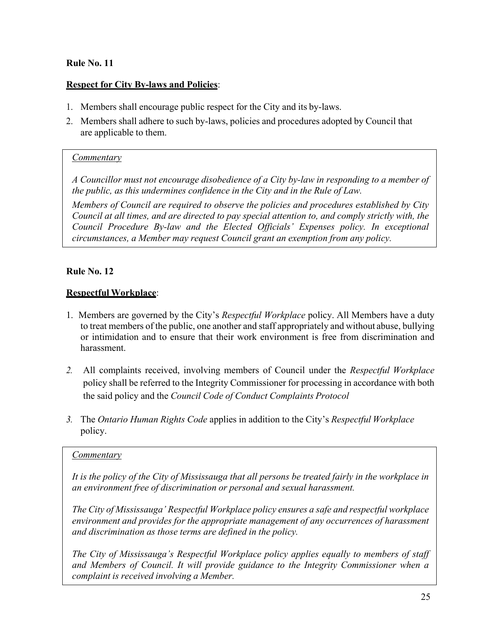#### **Respect for City By-laws and Policies**:

- 1. Members shall encourage public respect for the City and its by-laws.
- 2. Members shall adhere to such by-laws, policies and procedures adopted by Council that are applicable to them.

#### *Commentary*

*A Councillor must not encourage disobedience of a City by-law in responding to a member of the public, as this undermines confidence in the City and in the Rule of Law.*

*Members of Council are required to observe the policies and procedures established by City Council at all times, and are directed to pay special attention to, and comply strictly with, the Council Procedure By-law and the Elected Officials' Expenses policy. In exceptional circumstances, a Member may request Council grant an exemption from any policy.*

#### **Rule No. 12**

#### **Respectful Workplace**:

- 1. Members are governed by the City's *Respectful Workplace* policy. All Members have a duty to treat members of the public, one another and staff appropriately and without abuse, bullying or intimidation and to ensure that their work environment is free from discrimination and harassment.
- *2.* All complaints received, involving members of Council under the *Respectful Workplace* policy shall be referred to the Integrity Commissioner for processing in accordance with both the said policy and the *Council Code of Conduct Complaints Protocol*
- *3.* The *Ontario Human Rights Code* applies in addition to the City's *Respectful Workplace* policy.

#### *Commentary*

It is the policy of the City of Mississauga that all persons be treated fairly in the workplace in *an environment free of discrimination or personal and sexual harassment.*

*The City of Mississauga' Respectful Workplace policy ensures a safe and respectful workplace environment and provides for the appropriate management of any occurrences of harassment and discrimination as those terms are defined in the policy.*

*The City of Mississauga's Respectful Workplace policy applies equally to members of staff and Members of Council. It will provide guidance to the Integrity Commissioner when a complaint is received involving a Member.*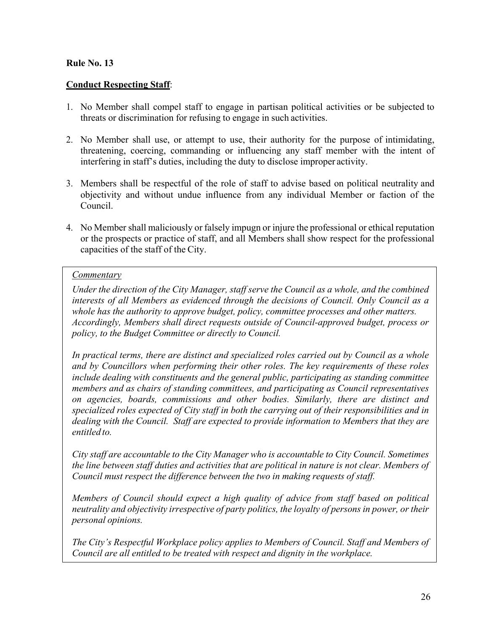## **Conduct Respecting Staff**:

- 1. No Member shall compel staff to engage in partisan political activities or be subjected to threats or discrimination for refusing to engage in such activities.
- 2. No Member shall use, or attempt to use, their authority for the purpose of intimidating, threatening, coercing, commanding or influencing any staff member with the intent of interfering in staff's duties, including the duty to disclose improper activity.
- 3. Members shall be respectful of the role of staff to advise based on political neutrality and objectivity and without undue influence from any individual Member or faction of the Council.
- 4. No Member shall maliciously or falsely impugn or injure the professional or ethical reputation or the prospects or practice of staff, and all Members shall show respect for the professional capacities of the staff of the City.

#### *Commentary*

*Under the direction of the City Manager, staff serve the Council as a whole, and the combined interests of all Members as evidenced through the decisions of Council. Only Council as a whole has the authority to approve budget, policy, committee processes and other matters. Accordingly, Members shall direct requests outside of Council-approved budget, process or policy, to the Budget Committee or directly to Council.*

*In practical terms, there are distinct and specialized roles carried out by Council as a whole and by Councillors when performing their other roles. The key requirements of these roles include dealing with constituents and the general public, participating as standing committee members and as chairs of standing committees, and participating as Council representatives on agencies, boards, commissions and other bodies. Similarly, there are distinct and specialized roles expected of City staff in both the carrying out of their responsibilities and in dealing with the Council. Staff are expected to provide information to Members that they are entitled to.*

*City staff are accountable to the City Manager who is accountable to City Council. Sometimes the line between staff duties and activities that are political in nature is not clear. Members of Council must respect the difference between the two in making requests of staff.*

*Members of Council should expect a high quality of advice from staff based on political neutrality and objectivity irrespective of party politics, the loyalty of persons in power, or their personal opinions.*

*The City's Respectful Workplace policy applies to Members of Council. Staff and Members of Council are all entitled to be treated with respect and dignity in the workplace.*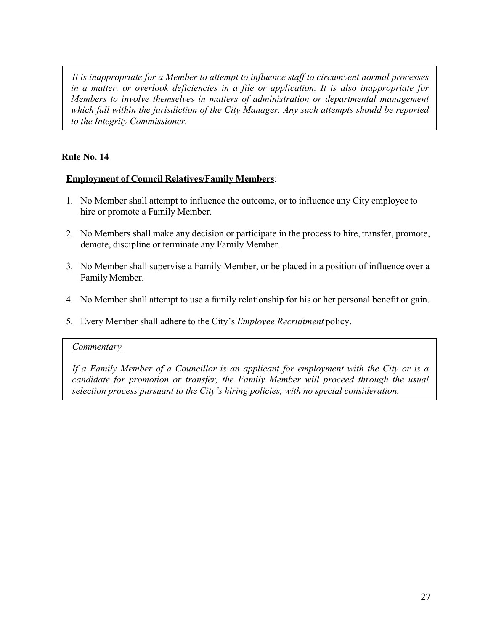*It is inappropriate for a Member to attempt to influence staff to circumvent normal processes in a matter, or overlook deficiencies in a file or application. It is also inappropriate for Members to involve themselves in matters of administration or departmental management which fall within the jurisdiction of the City Manager. Any such attempts should be reported to the Integrity Commissioner.*

# **Rule No. 14**

# **Employment of Council Relatives/Family Members**:

- 1. No Member shall attempt to influence the outcome, or to influence any City employee to hire or promote a Family Member.
- 2. No Members shall make any decision or participate in the process to hire, transfer, promote, demote, discipline or terminate any Family Member.
- 3. No Member shall supervise a Family Member, or be placed in a position of influence over a Family Member.
- 4. No Member shall attempt to use a family relationship for his or her personal benefit or gain.
- 5. Every Member shall adhere to the City's *Employee Recruitment* policy.

#### *Commentary*

*If a Family Member of a Councillor is an applicant for employment with the City or is a candidate for promotion or transfer, the Family Member will proceed through the usual selection process pursuant to the City's hiring policies, with no special consideration.*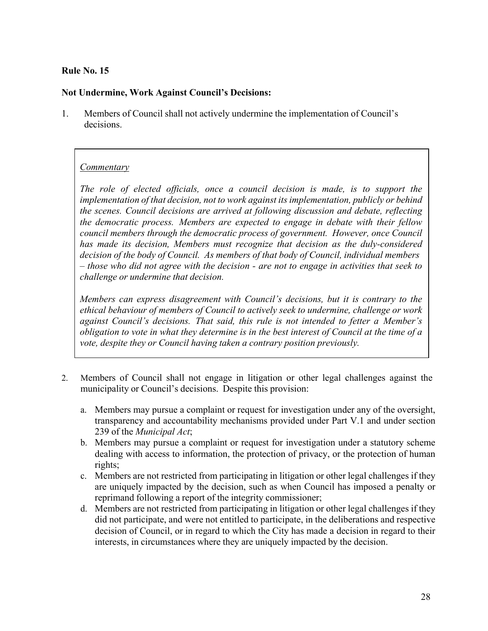#### **Not Undermine, Work Against Council's Decisions:**

1. Members of Council shall not actively undermine the implementation of Council's decisions.

#### *Commentary*

*The role of elected officials, once a council decision is made, is to support the implementation of that decision, not to work against its implementation, publicly or behind the scenes. Council decisions are arrived at following discussion and debate, reflecting the democratic process. Members are expected to engage in debate with their fellow council members through the democratic process of government. However, once Council has made its decision, Members must recognize that decision as the duly-considered decision of the body of Council. As members of that body of Council, individual members – those who did not agree with the decision - are not to engage in activities that seek to challenge or undermine that decision.*

*Members can express disagreement with Council's decisions, but it is contrary to the ethical behaviour of members of Council to actively seek to undermine, challenge or work against Council's decisions. That said, this rule is not intended to fetter a Member's*  obligation to vote in what they determine is in the best interest of Council at the time of a *vote, despite they or Council having taken a contrary position previously.*

- 2. Members of Council shall not engage in litigation or other legal challenges against the municipality or Council's decisions. Despite this provision:
	- a. Members may pursue a complaint or request for investigation under any of the oversight, transparency and accountability mechanisms provided under Part V.1 and under section 239 of the *Municipal Act*;
	- b. Members may pursue a complaint or request for investigation under a statutory scheme dealing with access to information, the protection of privacy, or the protection of human rights;
	- c. Members are not restricted from participating in litigation or other legal challenges if they are uniquely impacted by the decision, such as when Council has imposed a penalty or reprimand following a report of the integrity commissioner;
	- d. Members are not restricted from participating in litigation or other legal challenges if they did not participate, and were not entitled to participate, in the deliberations and respective decision of Council, or in regard to which the City has made a decision in regard to their interests, in circumstances where they are uniquely impacted by the decision.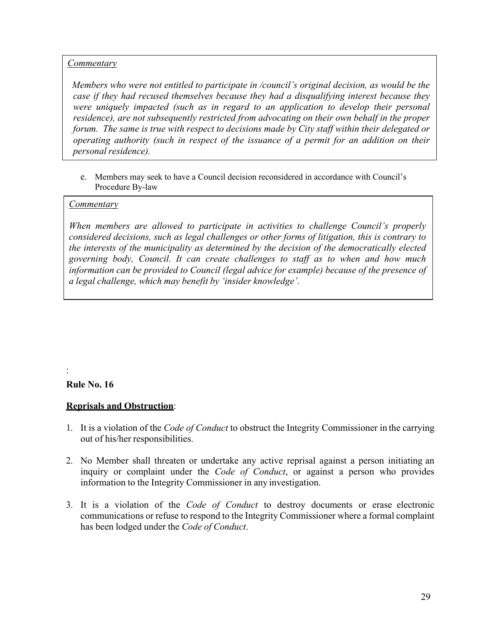## *Commentary*

*Members who were not entitled to participate in /council's original decision, as would be the case if they had recused themselves because they had a disqualifying interest because they were uniquely impacted (such as in regard to an application to develop their personal residence), are not subsequently restricted from advocating on their own behalf in the proper forum. The same is true with respect to decisions made by City staff within their delegated or operating authority (such in respect of the issuance of a permit for an addition on their personal residence*).

e. Members may seek to have a Council decision reconsidered in accordance with Council's Procedure By-law

#### *Commentary*

*When members are allowed to participate in activities to challenge Council's properly considered decisions, such as legal challenges or other forms of litigation, this is contrary to the interests of the municipality as determined by the decision of the democratically elected governing body, Council. It can create challenges to staff as to when and how much information can be provided to Council (legal advice for example) because of the presence of a legal challenge, which may benefit by 'insider knowledge'.*

# **Rule No. 16**

:

#### **Reprisals and Obstruction**:

- 1. It is a violation of the *Code of Conduct* to obstruct the Integrity Commissioner in the carrying out of his/her responsibilities.
- 2. No Member shall threaten or undertake any active reprisal against a person initiating an inquiry or complaint under the *Code of Conduct*, or against a person who provides information to the Integrity Commissioner in any investigation.
- 3. It is a violation of the *Code of Conduct* to destroy documents or erase electronic communications or refuse to respond to the Integrity Commissioner where a formal complaint has been lodged under the *Code of Conduct*.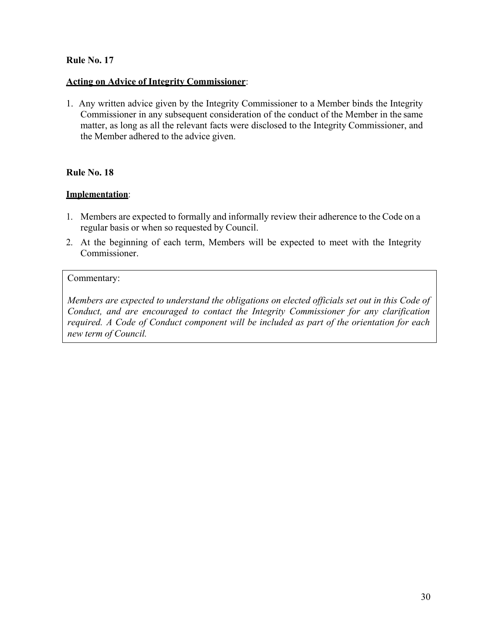#### **Acting on Advice of Integrity Commissioner**:

1. Any written advice given by the Integrity Commissioner to a Member binds the Integrity Commissioner in any subsequent consideration of the conduct of the Member in the same matter, as long as all the relevant facts were disclosed to the Integrity Commissioner, and the Member adhered to the advice given.

#### **Rule No. 18**

#### **Implementation**:

- 1. Members are expected to formally and informally review their adherence to the Code on a regular basis or when so requested by Council.
- 2. At the beginning of each term, Members will be expected to meet with the Integrity Commissioner.

#### Commentary:

*Members are expected to understand the obligations on elected officials set out in this Code of Conduct, and are encouraged to contact the Integrity Commissioner for any clarification required. A Code of Conduct component will be included as part of the orientation for each new term of Council.*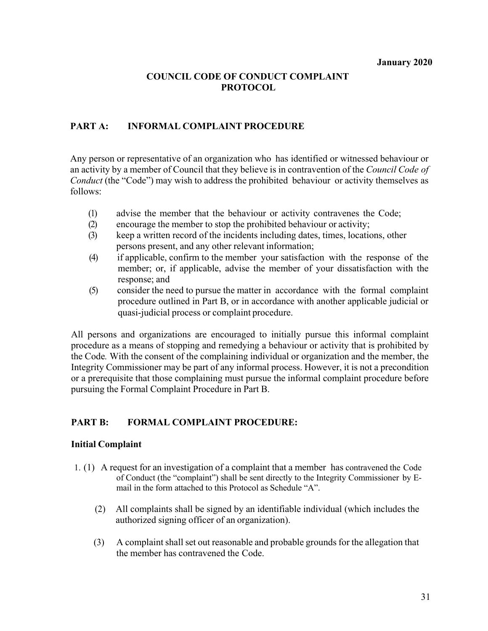# **COUNCIL CODE OF CONDUCT COMPLAINT PROTOCOL**

#### **PART A: INFORMAL COMPLAINT PROCEDURE**

Any person or representative of an organization who has identified or witnessed behaviour or an activity by a member of Council that they believe is in contravention of the *Council Code of Conduct* (the "Code") may wish to address the prohibited behaviour or activity themselves as follows:

- (1) advise the member that the behaviour or activity contravenes the Code;
- (2) encourage the member to stop the prohibited behaviour or activity;
- (3) keep a written record of the incidents including dates, times, locations, other persons present, and any other relevant information;
- (4) if applicable, confirm to the member your satisfaction with the response of the member; or, if applicable, advise the member of your dissatisfaction with the response; and
- (5) consider the need to pursue the matter in accordance with the formal complaint procedure outlined in Part B, or in accordance with another applicable judicial or quasi-judicial process or complaint procedure.

All persons and organizations are encouraged to initially pursue this informal complaint procedure as a means of stopping and remedying a behaviour or activity that is prohibited by the Code*.* With the consent of the complaining individual or organization and the member, the Integrity Commissioner may be part of any informal process. However, it is not a precondition or a prerequisite that those complaining must pursue the informal complaint procedure before pursuing the Formal Complaint Procedure in Part B.

# **PART B: FORMAL COMPLAINT PROCEDURE:**

#### **Initial Complaint**

- 1. (1) A request for an investigation of a complaint that a member has contravened the Code of Conduct (the "complaint") shall be sent directly to the Integrity Commissioner by Email in the form attached to this Protocol as Schedule "A".
	- (2) All complaints shall be signed by an identifiable individual (which includes the authorized signing officer of an organization).
	- (3) A complaint shall set out reasonable and probable grounds for the allegation that the member has contravened the Code.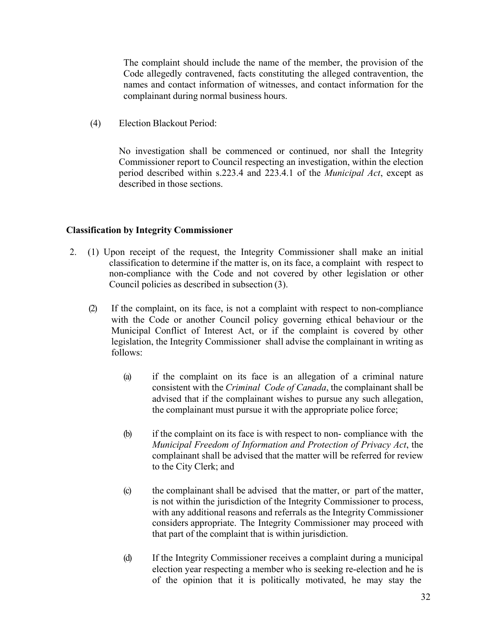The complaint should include the name of the member, the provision of the Code allegedly contravened, facts constituting the alleged contravention, the names and contact information of witnesses, and contact information for the complainant during normal business hours.

(4) Election Blackout Period:

No investigation shall be commenced or continued, nor shall the Integrity Commissioner report to Council respecting an investigation, within the election period described within s.223.4 and 223.4.1 of the *Municipal Act*, except as described in those sections.

#### **Classification by Integrity Commissioner**

- 2. (1) Upon receipt of the request, the Integrity Commissioner shall make an initial classification to determine if the matter is, on its face, a complaint with respect to non-compliance with the Code and not covered by other legislation or other Council policies as described in subsection (3).
	- (2) If the complaint, on its face, is not a complaint with respect to non-compliance with the Code or another Council policy governing ethical behaviour or the Municipal Conflict of Interest Act, or if the complaint is covered by other legislation, the Integrity Commissioner shall advise the complainant in writing as follows:
		- (a) if the complaint on its face is an allegation of a criminal nature consistent with the *Criminal Code of Canada*, the complainant shall be advised that if the complainant wishes to pursue any such allegation, the complainant must pursue it with the appropriate police force;
		- (b) if the complaint on its face is with respect to non- compliance with the *Municipal Freedom of Information and Protection of Privacy Act*, the complainant shall be advised that the matter will be referred for review to the City Clerk; and
		- (c) the complainant shall be advised that the matter, or part of the matter, is not within the jurisdiction of the Integrity Commissioner to process, with any additional reasons and referrals as the Integrity Commissioner considers appropriate. The Integrity Commissioner may proceed with that part of the complaint that is within jurisdiction.
		- (d) If the Integrity Commissioner receives a complaint during a municipal election year respecting a member who is seeking re-election and he is of the opinion that it is politically motivated, he may stay the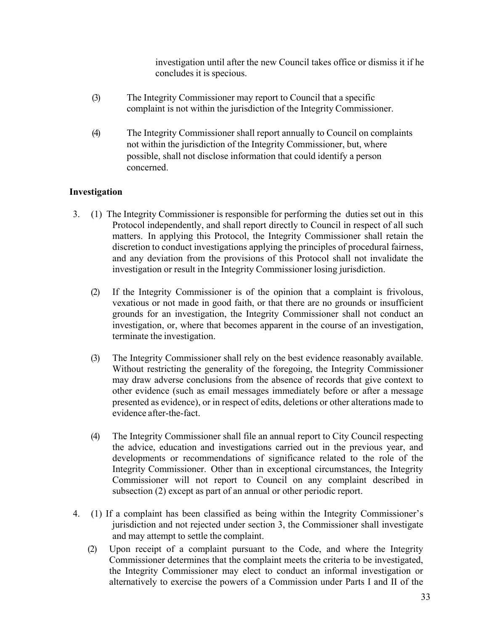investigation until after the new Council takes office or dismiss it if he concludes it is specious.

- (3) The Integrity Commissioner may report to Council that a specific complaint is not within the jurisdiction of the Integrity Commissioner.
- (4) The Integrity Commissioner shall report annually to Council on complaints not within the jurisdiction of the Integrity Commissioner, but, where possible, shall not disclose information that could identify a person concerned.

# **Investigation**

- 3. (1) The Integrity Commissioner is responsible for performing the duties set out in this Protocol independently, and shall report directly to Council in respect of all such matters. In applying this Protocol, the Integrity Commissioner shall retain the discretion to conduct investigations applying the principles of procedural fairness, and any deviation from the provisions of this Protocol shall not invalidate the investigation or result in the Integrity Commissioner losing jurisdiction.
	- (2) If the Integrity Commissioner is of the opinion that a complaint is frivolous, vexatious or not made in good faith, or that there are no grounds or insufficient grounds for an investigation, the Integrity Commissioner shall not conduct an investigation, or, where that becomes apparent in the course of an investigation, terminate the investigation.
	- (3) The Integrity Commissioner shall rely on the best evidence reasonably available. Without restricting the generality of the foregoing, the Integrity Commissioner may draw adverse conclusions from the absence of records that give context to other evidence (such as email messages immediately before or after a message presented as evidence), or in respect of edits, deletions or other alterations made to evidence after-the-fact.
	- (4) The Integrity Commissioner shall file an annual report to City Council respecting the advice, education and investigations carried out in the previous year, and developments or recommendations of significance related to the role of the Integrity Commissioner. Other than in exceptional circumstances, the Integrity Commissioner will not report to Council on any complaint described in subsection (2) except as part of an annual or other periodic report.
- 4. (1) If a complaint has been classified as being within the Integrity Commissioner's jurisdiction and not rejected under section 3, the Commissioner shall investigate and may attempt to settle the complaint.
	- (2) Upon receipt of a complaint pursuant to the Code, and where the Integrity Commissioner determines that the complaint meets the criteria to be investigated, the Integrity Commissioner may elect to conduct an informal investigation or alternatively to exercise the powers of a Commission under Parts I and II of the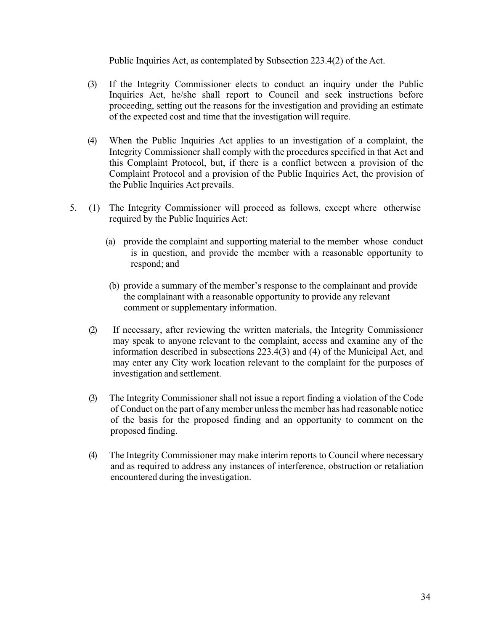Public Inquiries Act, as contemplated by Subsection 223.4(2) of the Act.

- (3) If the Integrity Commissioner elects to conduct an inquiry under the Public Inquiries Act, he/she shall report to Council and seek instructions before proceeding, setting out the reasons for the investigation and providing an estimate of the expected cost and time that the investigation will require.
- (4) When the Public Inquiries Act applies to an investigation of a complaint, the Integrity Commissioner shall comply with the procedures specified in that Act and this Complaint Protocol, but, if there is a conflict between a provision of the Complaint Protocol and a provision of the Public Inquiries Act, the provision of the Public Inquiries Act prevails.
- 5. (1) The Integrity Commissioner will proceed as follows, except where otherwise required by the Public Inquiries Act:
	- (a) provide the complaint and supporting material to the member whose conduct is in question, and provide the member with a reasonable opportunity to respond; and
	- (b) provide a summary of the member's response to the complainant and provide the complainant with a reasonable opportunity to provide any relevant comment or supplementary information.
	- (2) If necessary, after reviewing the written materials, the Integrity Commissioner may speak to anyone relevant to the complaint, access and examine any of the information described in subsections 223.4(3) and (4) of the Municipal Act, and may enter any City work location relevant to the complaint for the purposes of investigation and settlement.
	- (3) The Integrity Commissioner shall not issue a report finding a violation of the Code of Conduct on the part of any member unlessthe member has had reasonable notice of the basis for the proposed finding and an opportunity to comment on the proposed finding.
	- (4) The Integrity Commissioner may make interim reports to Council where necessary and as required to address any instances of interference, obstruction or retaliation encountered during the investigation.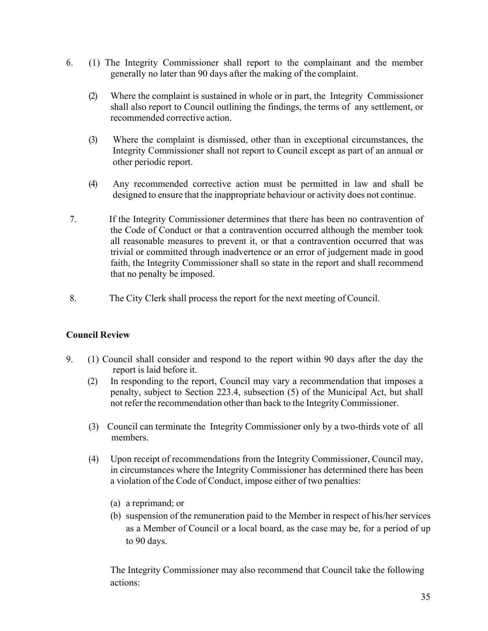- 6. (1) The Integrity Commissioner shall report to the complainant and the member generally no later than 90 days after the making of the complaint.
	- (2) Where the complaint is sustained in whole or in part, the Integrity Commissioner shall also report to Council outlining the findings, the terms of any settlement, or recommended corrective action.
	- (3) Where the complaint is dismissed, other than in exceptional circumstances, the Integrity Commissioner shall not report to Council except as part of an annual or other periodic report.
	- (4) Any recommended corrective action must be permitted in law and shall be designed to ensure that the inappropriate behaviour or activity does not continue.
- 7. If the Integrity Commissioner determines that there has been no contravention of the Code of Conduct or that a contravention occurred although the member took all reasonable measures to prevent it, or that a contravention occurred that was trivial or committed through inadvertence or an error of judgement made in good faith, the Integrity Commissioner shall so state in the report and shall recommend that no penalty be imposed.
- 8. The City Clerk shall process the report for the next meeting of Council.

# **Council Review**

- 9. (1) Council shall consider and respond to the report within 90 days after the day the report is laid before it.
	- (2) In responding to the report, Council may vary a recommendation that imposes a penalty, subject to Section 223.4, subsection (5) of the Municipal Act, but shall not refer the recommendation other than back to the IntegrityCommissioner.
	- (3) Council can terminate the Integrity Commissioner only by a two-thirds vote of all members.
	- (4) Upon receipt of recommendations from the Integrity Commissioner, Council may, in circumstances where the Integrity Commissioner has determined there has been a violation of the Code of Conduct, impose either of two penalties:
		- (a) a reprimand; or
		- (b) suspension of the remuneration paid to the Member in respect of his/her services as a Member of Council or a local board, as the case may be, for a period of up to 90 days.

The Integrity Commissioner may also recommend that Council take the following actions: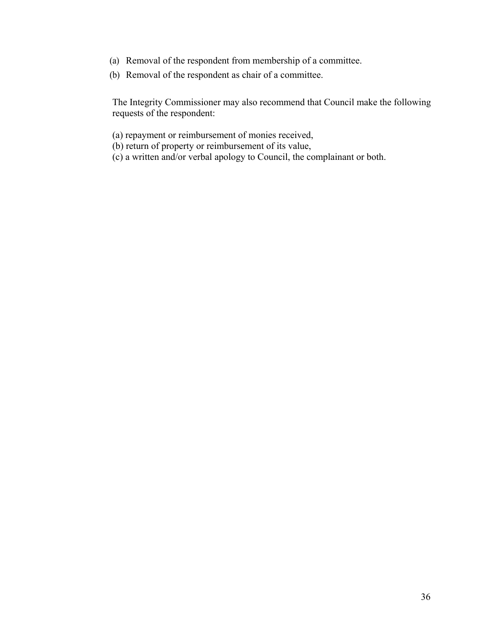- (a) Removal of the respondent from membership of a committee.
- (b) Removal of the respondent as chair of a committee.

The Integrity Commissioner may also recommend that Council make the following requests of the respondent:

- (a) repayment or reimbursement of monies received,
- (b) return of property or reimbursement of its value,
- (c) a written and/or verbal apology to Council, the complainant or both.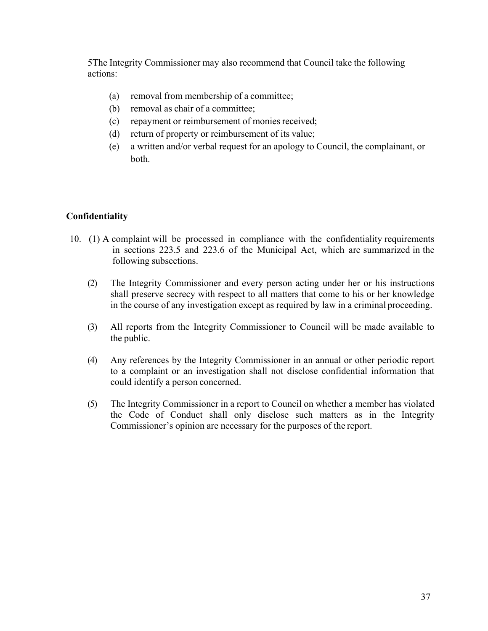5The Integrity Commissioner may also recommend that Council take the following actions:

- (a) removal from membership of a committee;
- (b) removal as chair of a committee;
- (c) repayment or reimbursement of monies received;
- (d) return of property or reimbursement of its value;
- (e) a written and/or verbal request for an apology to Council, the complainant, or both.

#### **Confidentiality**

- 10. (1) A complaint will be processed in compliance with the confidentiality requirements in sections 223.5 and 223.6 of the Municipal Act, which are summarized in the following subsections.
	- (2) The Integrity Commissioner and every person acting under her or his instructions shall preserve secrecy with respect to all matters that come to his or her knowledge in the course of any investigation except as required by law in a criminal proceeding.
	- (3) All reports from the Integrity Commissioner to Council will be made available to the public.
	- (4) Any references by the Integrity Commissioner in an annual or other periodic report to a complaint or an investigation shall not disclose confidential information that could identify a person concerned.
	- (5) The Integrity Commissioner in a report to Council on whether a member has violated the Code of Conduct shall only disclose such matters as in the Integrity Commissioner's opinion are necessary for the purposes of the report.